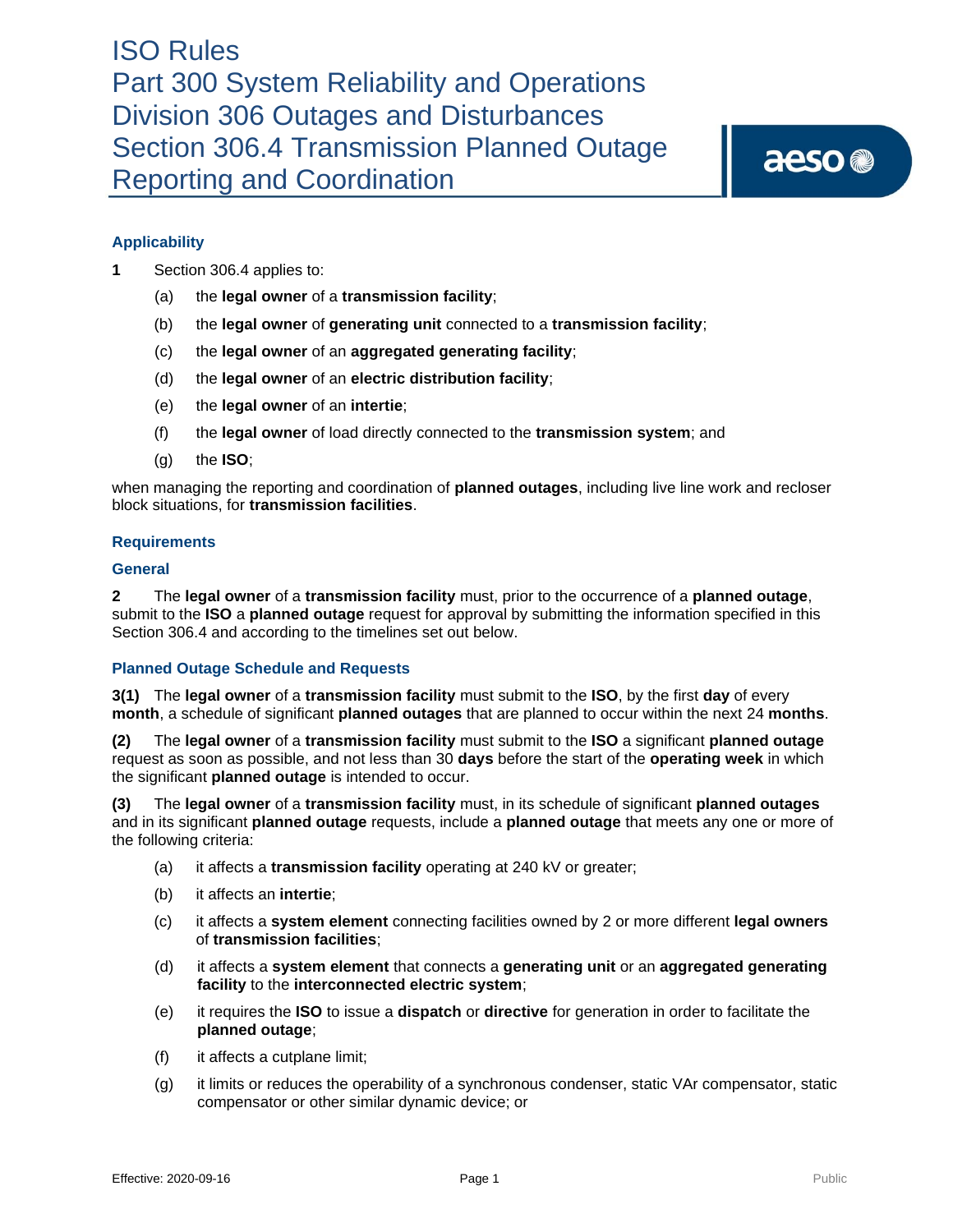# **Applicability**

- **1** Section 306.4 applies to:
	- (a) the **legal owner** of a **transmission facility**;
	- (b) the **legal owner** of **generating unit** connected to a **transmission facility**;
	- (c) the **legal owner** of an **aggregated generating facility**;
	- (d) the **legal owner** of an **electric distribution facility**;
	- (e) the **legal owner** of an **intertie**;
	- (f) the **legal owner** of load directly connected to the **transmission system**; and
	- (g) the **ISO**;

when managing the reporting and coordination of **planned outages**, including live line work and recloser block situations, for **transmission facilities**.

## **Requirements**

#### **General**

**2** The **legal owner** of a **transmission facility** must, prior to the occurrence of a **planned outage**, submit to the **ISO** a **planned outage** request for approval by submitting the information specified in this Section 306.4 and according to the timelines set out below.

## **Planned Outage Schedule and Requests**

**3(1)** The **legal owner** of a **transmission facility** must submit to the **ISO**, by the first **day** of every **month**, a schedule of significant **planned outages** that are planned to occur within the next 24 **months**.

**(2)** The **legal owner** of a **transmission facility** must submit to the **ISO** a significant **planned outage** request as soon as possible, and not less than 30 **days** before the start of the **operating week** in which the significant **planned outage** is intended to occur.

**(3)** The **legal owner** of a **transmission facility** must, in its schedule of significant **planned outages**  and in its significant **planned outage** requests, include a **planned outage** that meets any one or more of the following criteria:

- (a) it affects a **transmission facility** operating at 240 kV or greater;
- (b) it affects an **intertie**;
- (c) it affects a **system element** connecting facilities owned by 2 or more different **legal owners** of **transmission facilities**;
- (d) it affects a **system element** that connects a **generating unit** or an **aggregated generating facility** to the **interconnected electric system**;
- (e) it requires the **ISO** to issue a **dispatch** or **directive** for generation in order to facilitate the **planned outage**;
- (f) it affects a cutplane limit;
- (g) it limits or reduces the operability of a synchronous condenser, static VAr compensator, static compensator or other similar dynamic device; or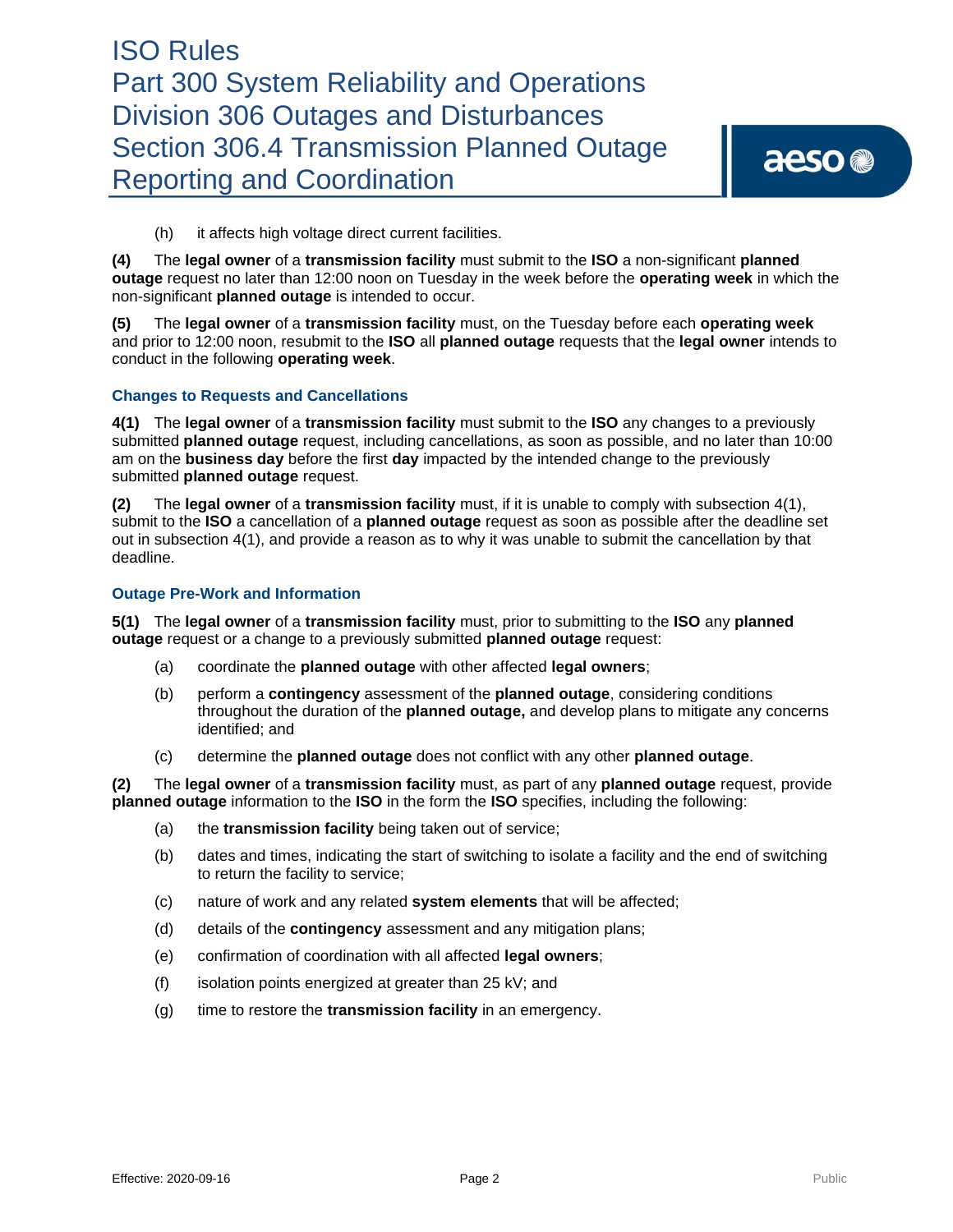# ISO Rules Part 300 System Reliability and Operations Division 306 Outages and Disturbances Section 306.4 Transmission Planned Outage Reporting and Coordination

(h) it affects high voltage direct current facilities.

**(4)** The **legal owner** of a **transmission facility** must submit to the **ISO** a non-significant **planned outage** request no later than 12:00 noon on Tuesday in the week before the **operating week** in which the non-significant **planned outage** is intended to occur.

**(5)** The **legal owner** of a **transmission facility** must, on the Tuesday before each **operating week** and prior to 12:00 noon, resubmit to the **ISO** all **planned outage** requests that the **legal owner** intends to conduct in the following **operating week**.

## **Changes to Requests and Cancellations**

**4(1)** The **legal owner** of a **transmission facility** must submit to the **ISO** any changes to a previously submitted **planned outage** request, including cancellations, as soon as possible, and no later than 10:00 am on the **business day** before the first **day** impacted by the intended change to the previously submitted **planned outage** request.

**(2)** The **legal owner** of a **transmission facility** must, if it is unable to comply with subsection 4(1), submit to the **ISO** a cancellation of a **planned outage** request as soon as possible after the deadline set out in subsection 4(1), and provide a reason as to why it was unable to submit the cancellation by that deadline.

## **Outage Pre-Work and Information**

**5(1)** The **legal owner** of a **transmission facility** must, prior to submitting to the **ISO** any **planned outage** request or a change to a previously submitted **planned outage** request:

- (a) coordinate the **planned outage** with other affected **legal owners**;
- (b) perform a **contingency** assessment of the **planned outage**, considering conditions throughout the duration of the **planned outage,** and develop plans to mitigate any concerns identified; and
- (c) determine the **planned outage** does not conflict with any other **planned outage**.

**(2)** The **legal owner** of a **transmission facility** must, as part of any **planned outage** request, provide **planned outage** information to the **ISO** in the form the **ISO** specifies, including the following:

- (a) the **transmission facility** being taken out of service;
- (b) dates and times, indicating the start of switching to isolate a facility and the end of switching to return the facility to service;
- (c) nature of work and any related **system elements** that will be affected;
- (d) details of the **contingency** assessment and any mitigation plans;
- (e) confirmation of coordination with all affected **legal owners**;
- (f) isolation points energized at greater than 25 kV; and
- (g) time to restore the **transmission facility** in an emergency.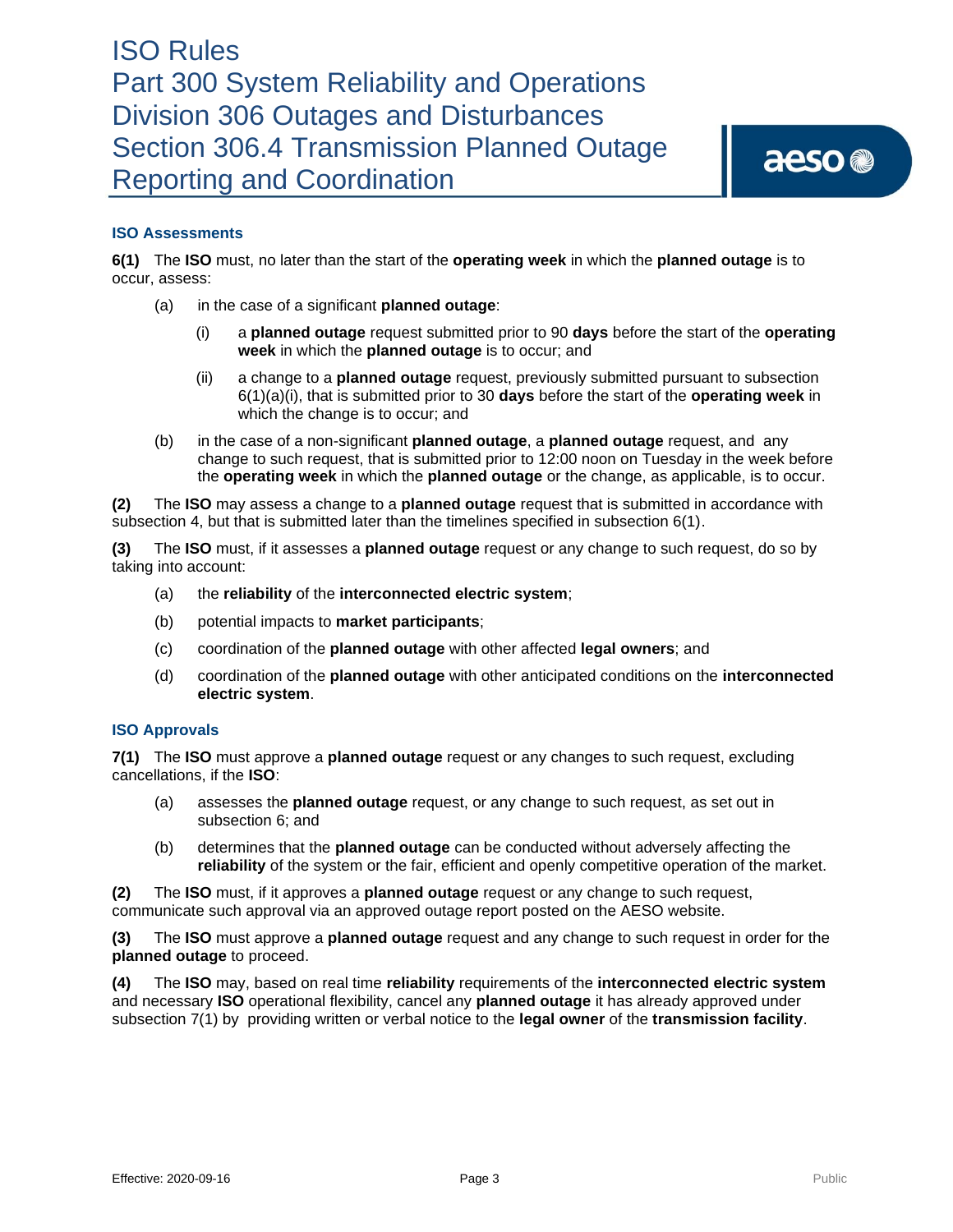## **ISO Assessments**

**6(1)** The **ISO** must, no later than the start of the **operating week** in which the **planned outage** is to occur, assess:

- (a) in the case of a significant **planned outage**:
	- (i) a **planned outage** request submitted prior to 90 **days** before the start of the **operating week** in which the **planned outage** is to occur; and
	- (ii) a change to a **planned outage** request, previously submitted pursuant to subsection 6(1)(a)(i), that is submitted prior to 30 **days** before the start of the **operating week** in which the change is to occur; and
- (b) in the case of a non-significant **planned outage**, a **planned outage** request, and any change to such request, that is submitted prior to 12:00 noon on Tuesday in the week before the **operating week** in which the **planned outage** or the change, as applicable, is to occur.

**(2)** The **ISO** may assess a change to a **planned outage** request that is submitted in accordance with subsection 4, but that is submitted later than the timelines specified in subsection 6(1).

**(3)** The **ISO** must, if it assesses a **planned outage** request or any change to such request, do so by taking into account:

- (a) the **reliability** of the **interconnected electric system**;
- (b) potential impacts to **market participants**;
- (c) coordination of the **planned outage** with other affected **legal owners**; and
- (d) coordination of the **planned outage** with other anticipated conditions on the **interconnected electric system**.

## **ISO Approvals**

**7(1)** The **ISO** must approve a **planned outage** request or any changes to such request, excluding cancellations, if the **ISO**:

- (a) assesses the **planned outage** request, or any change to such request, as set out in subsection 6; and
- (b) determines that the **planned outage** can be conducted without adversely affecting the **reliability** of the system or the fair, efficient and openly competitive operation of the market.

**(2)** The **ISO** must, if it approves a **planned outage** request or any change to such request, communicate such approval via an approved outage report posted on the AESO website.

**(3)** The **ISO** must approve a **planned outage** request and any change to such request in order for the **planned outage** to proceed.

**(4)** The **ISO** may, based on real time **reliability** requirements of the **interconnected electric system**  and necessary **ISO** operational flexibility, cancel any **planned outage** it has already approved under subsection 7(1) by providing written or verbal notice to the **legal owner** of the **transmission facility**.